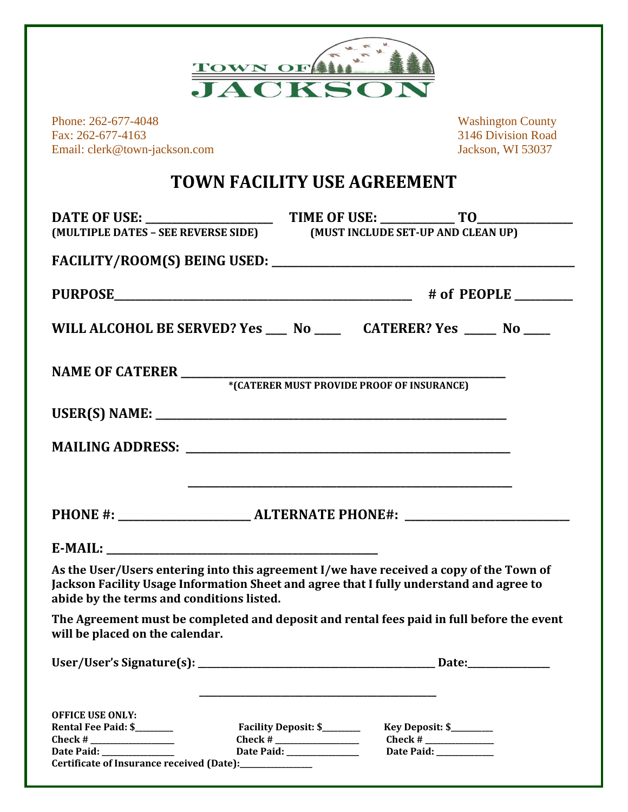

Phone: 262-677-4048 Washington County Fax: 262-677-4163<br>
Email: clerk@town-jackson.com<br>
3146 Division Road<br>
3146 Division Road<br>
3146 Division Road<br>
3146 Division Road Email: clerk@town-jackson.com

## **TOWN FACILITY USE AGREEMENT**

|                                                                                                                                                                                                                                 | (MULTIPLE DATES - SEE REVERSE SIDE) (MUST INCLUDE SET-UP AND CLEAN UP)                                                                                                                                                                                                                                                |  |                                                                                                                                                                                                                                                                                                                                                  |  |  |  |  |
|---------------------------------------------------------------------------------------------------------------------------------------------------------------------------------------------------------------------------------|-----------------------------------------------------------------------------------------------------------------------------------------------------------------------------------------------------------------------------------------------------------------------------------------------------------------------|--|--------------------------------------------------------------------------------------------------------------------------------------------------------------------------------------------------------------------------------------------------------------------------------------------------------------------------------------------------|--|--|--|--|
|                                                                                                                                                                                                                                 |                                                                                                                                                                                                                                                                                                                       |  |                                                                                                                                                                                                                                                                                                                                                  |  |  |  |  |
|                                                                                                                                                                                                                                 |                                                                                                                                                                                                                                                                                                                       |  |                                                                                                                                                                                                                                                                                                                                                  |  |  |  |  |
| WILL ALCOHOL BE SERVED? Yes ___ No ____ CATERER? Yes ____ No ___                                                                                                                                                                |                                                                                                                                                                                                                                                                                                                       |  |                                                                                                                                                                                                                                                                                                                                                  |  |  |  |  |
|                                                                                                                                                                                                                                 |                                                                                                                                                                                                                                                                                                                       |  |                                                                                                                                                                                                                                                                                                                                                  |  |  |  |  |
|                                                                                                                                                                                                                                 |                                                                                                                                                                                                                                                                                                                       |  |                                                                                                                                                                                                                                                                                                                                                  |  |  |  |  |
|                                                                                                                                                                                                                                 |                                                                                                                                                                                                                                                                                                                       |  |                                                                                                                                                                                                                                                                                                                                                  |  |  |  |  |
|                                                                                                                                                                                                                                 |                                                                                                                                                                                                                                                                                                                       |  |                                                                                                                                                                                                                                                                                                                                                  |  |  |  |  |
|                                                                                                                                                                                                                                 |                                                                                                                                                                                                                                                                                                                       |  |                                                                                                                                                                                                                                                                                                                                                  |  |  |  |  |
|                                                                                                                                                                                                                                 |                                                                                                                                                                                                                                                                                                                       |  |                                                                                                                                                                                                                                                                                                                                                  |  |  |  |  |
| As the User/Users entering into this agreement I/we have received a copy of the Town of<br>Jackson Facility Usage Information Sheet and agree that I fully understand and agree to<br>abide by the terms and conditions listed. |                                                                                                                                                                                                                                                                                                                       |  |                                                                                                                                                                                                                                                                                                                                                  |  |  |  |  |
| The Agreement must be completed and deposit and rental fees paid in full before the event<br>will be placed on the calendar.                                                                                                    |                                                                                                                                                                                                                                                                                                                       |  |                                                                                                                                                                                                                                                                                                                                                  |  |  |  |  |
| User/User's Signature(s):                                                                                                                                                                                                       |                                                                                                                                                                                                                                                                                                                       |  | Date:                                                                                                                                                                                                                                                                                                                                            |  |  |  |  |
|                                                                                                                                                                                                                                 |                                                                                                                                                                                                                                                                                                                       |  |                                                                                                                                                                                                                                                                                                                                                  |  |  |  |  |
| <b>OFFICE USE ONLY:</b><br>Rental Fee Paid: \$_______                                                                                                                                                                           | Facility Deposit: \$_______                                                                                                                                                                                                                                                                                           |  |                                                                                                                                                                                                                                                                                                                                                  |  |  |  |  |
| $Check # _______$                                                                                                                                                                                                               | Check # $\frac{1}{2}$ $\frac{1}{2}$ $\frac{1}{2}$ $\frac{1}{2}$ $\frac{1}{2}$ $\frac{1}{2}$ $\frac{1}{2}$ $\frac{1}{2}$ $\frac{1}{2}$ $\frac{1}{2}$ $\frac{1}{2}$ $\frac{1}{2}$ $\frac{1}{2}$ $\frac{1}{2}$ $\frac{1}{2}$ $\frac{1}{2}$ $\frac{1}{2}$ $\frac{1}{2}$ $\frac{1}{2}$ $\frac{1}{2}$ $\frac{1}{2}$ $\frac$ |  | Key Deposit: \$________<br>Check # $\frac{1}{2}$ $\frac{1}{2}$ $\frac{1}{2}$ $\frac{1}{2}$ $\frac{1}{2}$ $\frac{1}{2}$ $\frac{1}{2}$ $\frac{1}{2}$ $\frac{1}{2}$ $\frac{1}{2}$ $\frac{1}{2}$ $\frac{1}{2}$ $\frac{1}{2}$ $\frac{1}{2}$ $\frac{1}{2}$ $\frac{1}{2}$ $\frac{1}{2}$ $\frac{1}{2}$ $\frac{1}{2}$ $\frac{1}{2}$ $\frac{1}{2}$ $\frac$ |  |  |  |  |
| Date Paid: ______________                                                                                                                                                                                                       | Date Paid: ______________                                                                                                                                                                                                                                                                                             |  | Date Paid: ___________                                                                                                                                                                                                                                                                                                                           |  |  |  |  |
| Certificate of Insurance received (Date):_______________                                                                                                                                                                        |                                                                                                                                                                                                                                                                                                                       |  |                                                                                                                                                                                                                                                                                                                                                  |  |  |  |  |